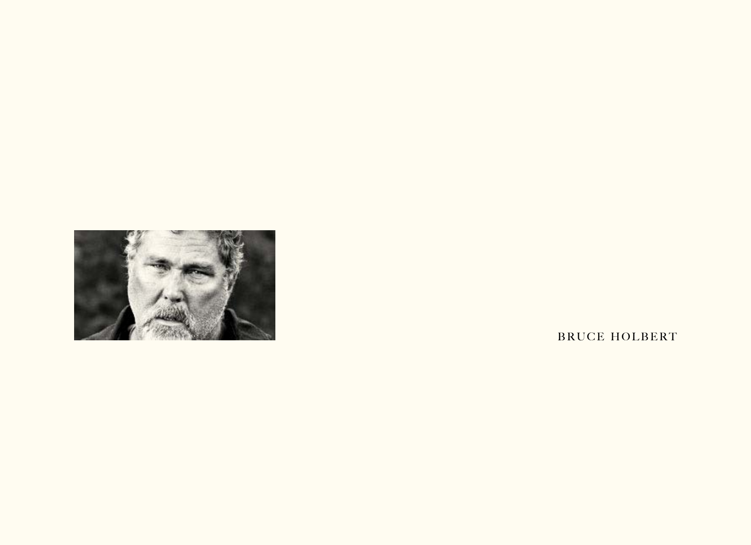

BRUCE HOLBERT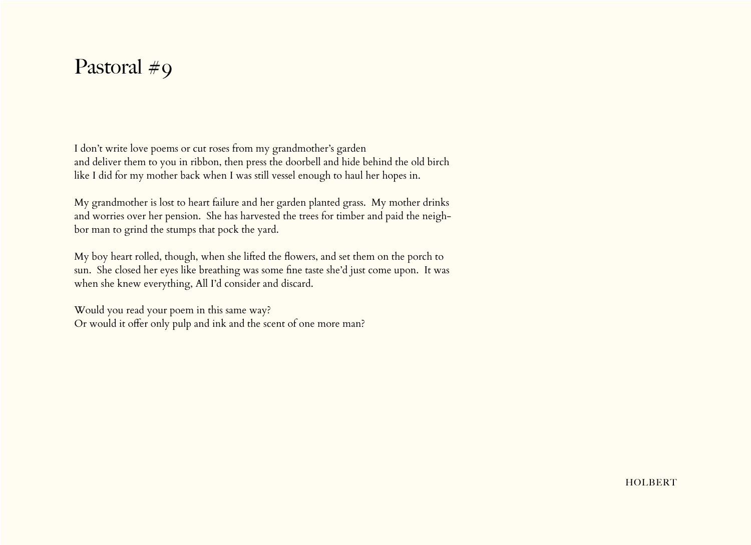## Pastoral #9

I don't write love poems or cut roses from my grandmother's garden and deliver them to you in ribbon, then press the doorbell and hide behind the old birch like I did for my mother back when I was still vessel enough to haul her hopes in.

My grandmother is lost to heart failure and her garden planted grass. My mother drinks and worries over her pension. She has harvested the trees for timber and paid the neighbor man to grind the stumps that pock the yard.

My boy heart rolled, though, when she lifted the flowers, and set them on the porch to sun. She closed her eyes like breathing was some fine taste she'd just come upon. It was when she knew everything, All I'd consider and discard.

Would you read your poem in this same way? Or would it offer only pulp and ink and the scent of one more man?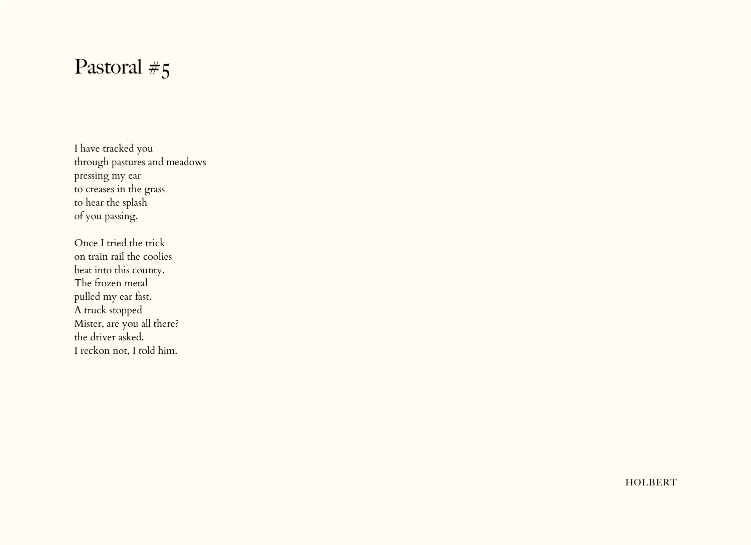# Pastoral #5

I have tracked you through pastures and meadows pressing my ear to creases in the grass to hear the splash of you passing.

Once I tried the trick on train rail the coolies beat into this county. The frozen metal pulled my ear fast. A truck stopped Mister, are you all there? the driver asked. I reckon not, I told him.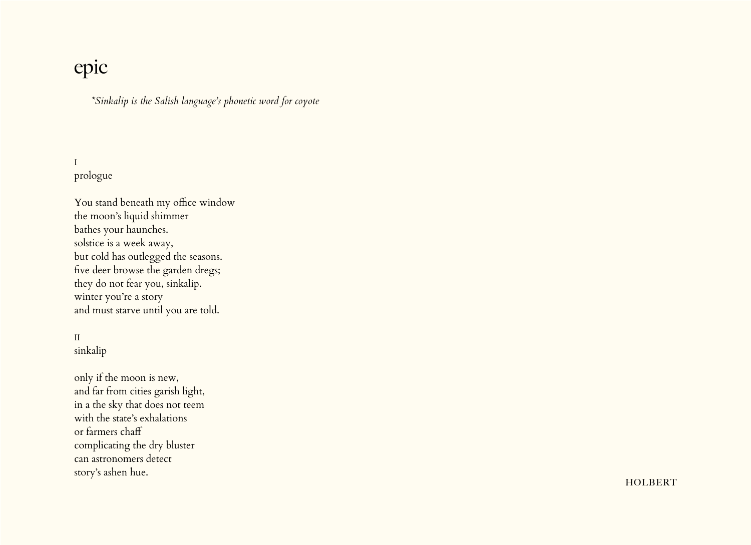## epic

*\*Sinkalip is the Salish language's phonetic word for coyote*

I prologue

You stand beneath my office window the moon's liquid shimmer bathes your haunches. solstice is a week away, but cold has outlegged the seasons. five deer browse the garden dregs; they do not fear you, sinkalip. winter you're a story and must starve until you are told.

## II sinkalip

only if the moon is new, and far from cities garish light, in a the sky that does not teem with the state's exhalations or farmers chaff complicating the dry bluster can astronomers detect story's ashen hue.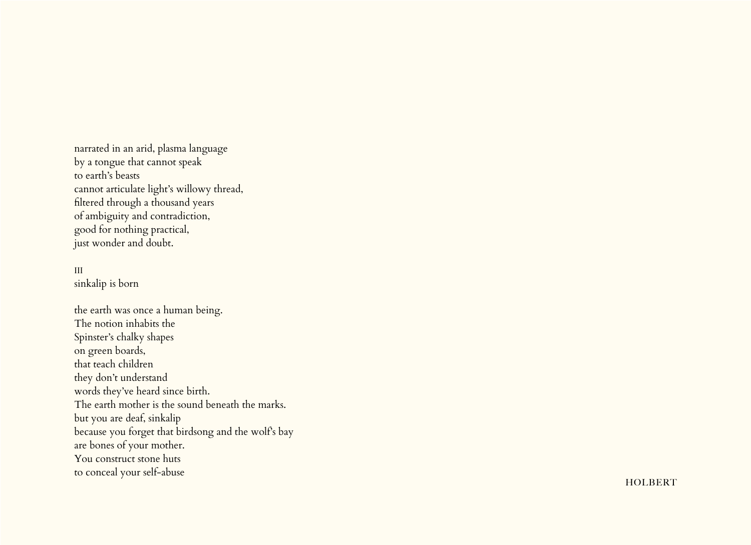narrated in an arid, plasma language by a tongue that cannot speak to earth's beasts cannot articulate light's willowy thread, filtered through a thousand years of ambiguity and contradiction, good for nothing practical, just wonder and doubt.

#### III

sinkalip is born

the earth was once a human being. The notion inhabits the Spinster's chalky shapes on green boards, that teach children they don't understand words they've heard since birth. The earth mother is the sound beneath the marks. but you are deaf, sinkalip because you forget that birdsong and the wolf's bay are bones of your mother. You construct stone huts to conceal your self-abuse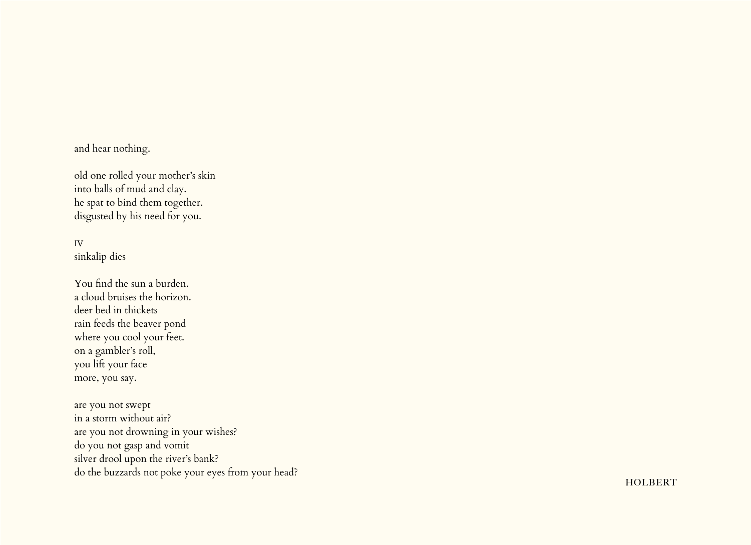## and hear nothing.

old one rolled your mother's skin into balls of mud and clay. he spat to bind them together. disgusted by his need for you.

## IV sinkalip dies

You find the sun a burden. a cloud bruises the horizon. deer bed in thickets rain feeds the beaver pond where you cool your feet. on a gambler's roll, you lift your face more, you say.

are you not swept in a storm without air? are you not drowning in your wishes? do you not gasp and vomit silver drool upon the river's bank? do the buzzards not poke your eyes from your head?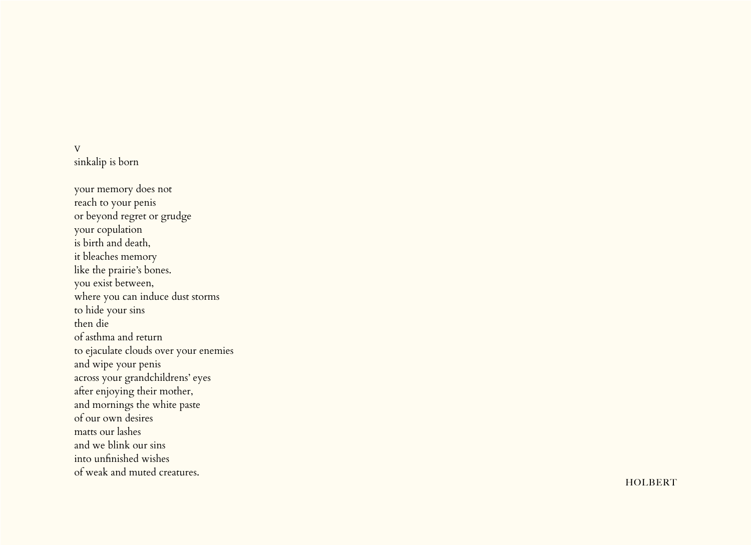### V sinkalip is born

your memory does not reach to your penis or beyond regret or grudge your copulation is birth and death, it bleaches memory like the prairie's bones. you exist between, where you can induce dust storms to hide your sins then die of asthma and return to ejaculate clouds over your enemies and wipe your penis across your grandchildrens' eyes after enjoying their mother, and mornings the white paste of our own desires matts our lashes and we blink our sins into unfinished wishes of weak and muted creatures.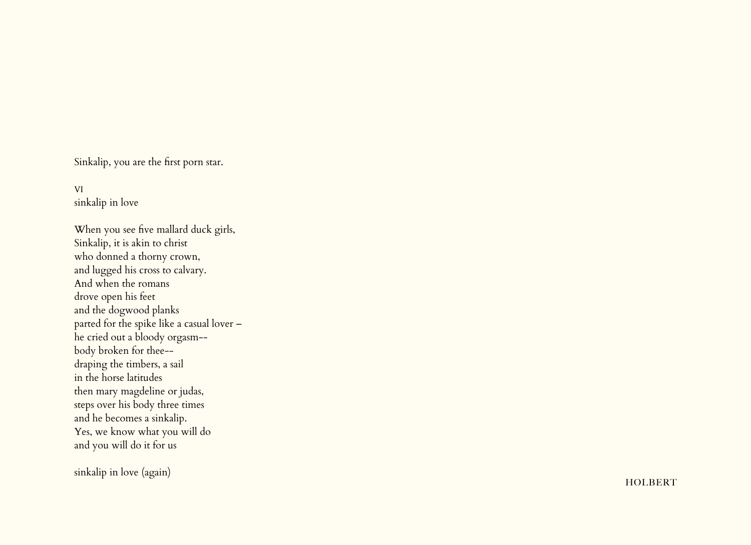Sinkalip, you are the first porn star.

VI sinkalip in love

When you see five mallard duck girls, Sinkalip, it is akin to christ who donned a thorny crown, and lugged his cross to calvary. And when the romans drove open his feet and the dogwood planks parted for the spike like a casual lover – he cried out a bloody orgasm- body broken for thee- draping the timbers, a sail in the horse latitudes then mary magdeline or judas, steps over his body three times and he becomes a sinkalip. Yes, we know what you will do and you will do it for us

sinkalip in love (again)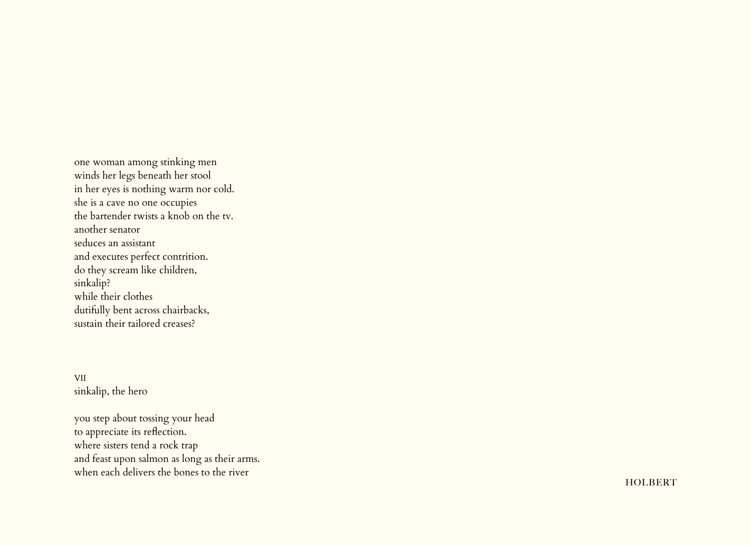one woman among stinking men winds her legs beneath her stool in her eyes is nothing warm nor cold. she is a cave no one occupies the bartender twists a knob on the tv. another senator seduces an assistant and executes perfect contrition. do they scream like children, sinkalip? while their clothes dutifully bent across chairbacks, sustain their tailored creases?

VII sinkalip, the hero

you step about tossing your head to appreciate its reflection. where sisters tend a rock trap and feast upon salmon as long as their arms. when each delivers the bones to the river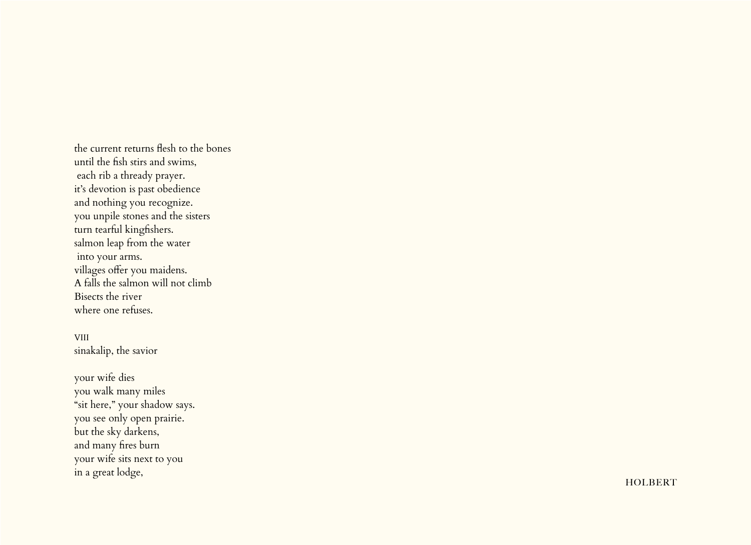the current returns flesh to the bones until the fish stirs and swims, each rib a thready prayer. it's devotion is past obedience and nothing you recognize. you unpile stones and the sisters turn tearful kingfishers. salmon leap from the water into your arms. villages offer you maidens. A falls the salmon will not climb Bisects the river where one refuses.

VIII sinakalip, the savior

your wife dies you walk many miles "sit here," your shadow says. you see only open prairie. but the sky darkens, and many fires burn your wife sits next to you in a great lodge,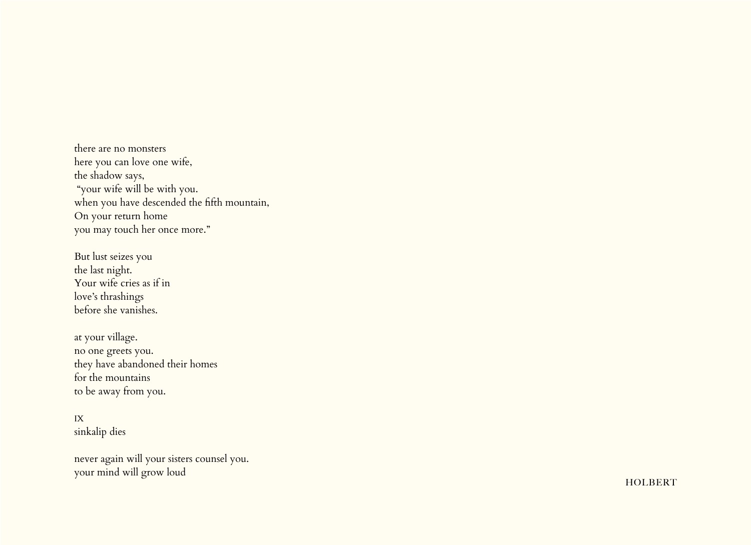there are no monsters here you can love one wife, the shadow says, "your wife will be with you. when you have descended the fifth mountain, On your return home you may touch her once more."

But lust seizes you the last night. Your wife cries as if in love's thrashings before she vanishes.

at your village. no one greets you. they have abandoned their homes for the mountains to be away from you.

### IX sinkalip dies

never again will your sisters counsel you. your mind will grow loud